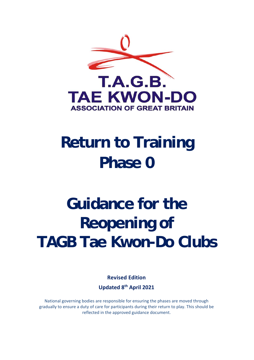

## **Return to Training Phase 0**

# **Guidance for the Reopening of TAGB Tae Kwon-Do Clubs**

**Revised Edition Updated 8th April 2021** 

National governing bodies are responsible for ensuring the phases are moved through gradually to ensure a duty of care for participants during their return to play. This should be reflected in the approved guidance document.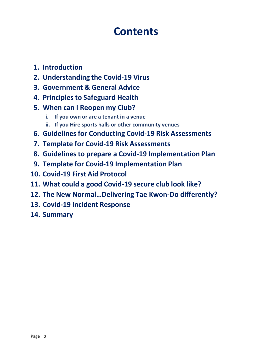## **Contents**

- **1. Introduction**
- **2. Understanding the Covid‐19 Virus**
- **3. Government & General Advice**
- **4. Principles to Safeguard Health**
- **5. When can I Reopen my Club?**
	- **i. If you own or are a tenant in a venue**
	- **ii. If you Hire sports halls or other community venues**
- **6. Guidelines for Conducting Covid‐19 Risk Assessments**
- **7. Template for Covid‐19 Risk Assessments**
- **8. Guidelines to prepare a Covid‐19 Implementation Plan**
- **9. Template for Covid‐19 Implementation Plan**
- **10. Covid‐19 First Aid Protocol**
- **11. What could a good Covid‐19 secure club look like?**
- **12. The New Normal…Delivering Tae Kwon‐Do differently?**
- **13. Covid‐19 Incident Response**
- **14. Summary**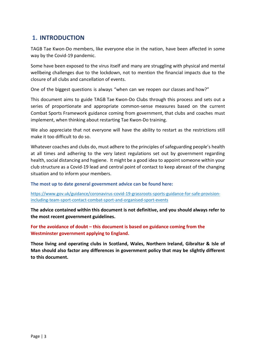## **1. INTRODUCTION**

TAGB Tae Kwon‐Do members, like everyone else in the nation, have been affected in some way by the Covid-19 pandemic.

Some have been exposed to the virus itself and many are struggling with physical and mental wellbeing challenges due to the lockdown, not to mention the financial impacts due to the closure of all clubs and cancellation of events.

One of the biggest questions is always "when can we reopen our classes and how?"

This document aims to guide TAGB Tae Kwon‐Do Clubs through this process and sets out a series of proportionate and appropriate common-sense measures based on the current Combat Sports Framework guidance coming from government, that clubs and coaches must implement, when thinking about restarting Tae Kwon‐Do training.

We also appreciate that not everyone will have the ability to restart as the restrictions still make it too difficult to do so.

Whatever coaches and clubs do, must adhere to the principles of safeguarding people's health at all times and adhering to the very latest regulations set out by government regarding health, social distancing and hygiene. It might be a good idea to appoint someone within your club structure as a Covid‐19 lead and central point of contact to keep abreast of the changing situation and to inform your members.

**The most up to date general government advice can be found here:**

https://www.gov.uk/guidance/coronavirus-covid-19-grassroots-sports-guidance-for-safe-provisionincluding‐team‐sport‐contact‐combat‐sport‐and‐organised‐sport‐events

**The advice contained within this document is not definitive, and you should always refer to the most recent government guidelines.**

**For the avoidance of doubt – this document is based on guidance coming from the Westminster government applying to England.**

**Those living and operating clubs in Scotland, Wales, Northern Ireland, Gibraltar & Isle of Man should also factor any differences in government policy that may be slightly different to this document.**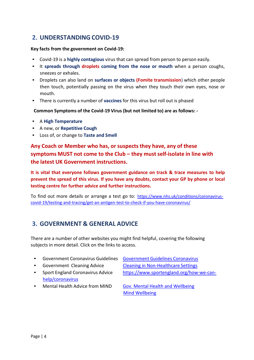## **2. UNDERSTANDING COVID‐19**

#### **Key facts from the government on Covid‐19:**

- Covid‐19 is a **highly contagious** virus that can spread from person to person easily.
- It **spreads through droplets coming from the nose or mouth**  when a person coughs, sneezes or exhales.
- Droplets can also land on **surfaces or objects (Fomite transmission**) which other people then touch, potentially passing on the virus when they touch their own eyes, nose or mouth.
- There is currently a number of **vaccines** for this virus but roll out is phased

**Common Symptoms of the Covid‐19 Virus (but not limited to) are as follows: ‐**

- A **High Temperature**
- A new, or **Repetitive Cough**
- Loss of, or change to **Taste and Smell**

**Any Coach or Member who has, or suspects they have, any of these symptoms MUST not come to the Club – they must self‐isolate in line with the latest UK Government instructions.**

**It is vital that everyone follows government guidance on track & trace measures to help prevent the spread of this virus. If you have any doubts, contact your GP by phone or local testing centre for further advice and further instructions.**

To find out more details or arrange a test go to: https://www.nhs.uk/conditions/coronavirus‐ covid‐19/testing‐and‐tracing/get‐an‐antigen‐test‐to‐check‐if‐you‐have‐coronavirus/

## **3. GOVERNMENT & GENERAL ADVICE**

There are a number of other websites you might find helpful, covering the following subjects in more detail. Click on the links to access.

- Government Coronavirus Guidelines Government Guidelines Coronavirus
- 
- help/coronavirus
- Government Cleaning Advice Cleaning in Non‐Healthcare Settings
- Sport England Coronavirus Advice https://www.sportengland.org/how-we-can-
- 

• Mental Health Advice from MIND Gov. Mental Health and Wellbeing Mind Wellbeing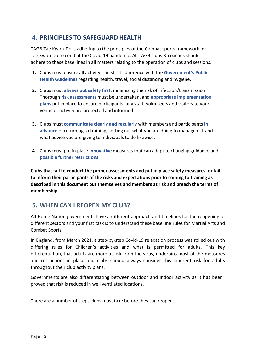## **4. PRINCIPLES TO SAFEGUARD HEALTH**

TAGB Tae Kwon‐Do is adhering to the principles of the Combat sports framework for Tae Kwon‐Do to combat the Covid‐19 pandemic. All TAGB clubs & coaches should adhere to these base lines in all matters relating to the operation of clubs and sessions.

- **1.** Clubs must ensure all activity is in strict adherence with the **Government's Public Health Guidelines** regarding health, travel, social distancing and hygiene.
- **2.** Clubs must always put safety first, minimising the risk of infection/transmission. Thorough **risk assessments** must be undertaken, and **appropriate implementation plans** put in place to ensure participants, any staff, volunteers and visitors to your venue or activity are protected and informed.
- **3.** Clubs must **communicate clearly and regularly** with members and participants **in advance** of returning to training, setting out what you are doing to manage risk and what advice you are giving to individuals to do likewise.
- **4.** Clubs must put in place **innovative** measures that can adapt to changing guidance and **possible further restrictions**.

**Clubs that fail to conduct the proper assessments and put in place safety measures, or fail to inform their participants of the risks and expectations prior to coming to training as described in this document put themselves and members at risk and breach the terms of membership.**

## **5. WHEN CAN I REOPEN MY CLUB?**

All Home Nation governments have a different approach and timelines for the reopening of different sectors and your first task is to understand these base line rules for Martial Arts and Combat Sports.

In England, from March 2021, a step‐by‐step Covid‐19 relaxation process was rolled out with differing rules for Children's activities and what is permitted for adults. This key differentiation, that adults are more at risk from the virus, underpins most of the measures and restrictions in place and clubs should always consider this inherent risk for adults throughout their club activity plans.

Governments are also differentiating between outdoor and indoor activity as it has been proved that risk is reduced in well ventilated locations.

There are a number of steps clubs must take before they can reopen.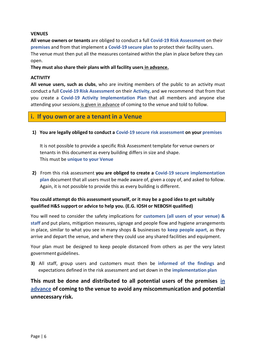#### **VENUES**

**All venue owners or tenants** are obliged to conduct a full **Covid‐19 Risk Assessment** on their **premises** and from that implement a **Covid‐19 secure plan** to protect their facility users. The venue must then put all the measures contained within the plan in place before they can open.

**They must also share their plans with all facility users in advance.**

#### **ACTIVITY**

**All venue users, such as clubs**, who are inviting members of the public to an activity must conduct a full **Covid‐19 Risk Assessment** on their **Activity,** and we recommend that from that you create a **Covid‐19 Activity Implementation Plan**  that all members and anyone else attending your sessions is given in advance of coming to the venue and told to follow.

## **i. If you own or are a tenant in a Venue**

**1) You are legally obliged to conduct a Covid‐19 secure risk assessment on your premises**

It is not possible to provide a specific Risk Assessment template for venue owners or tenants in this document as every building differs in size and shape. This must be **unique to your Venue**

**2)** From this risk assessment **you are obliged to create a Covid‐19 secure implementation plan** document that all users must be made aware of, given a copy of, and asked to follow. Again, it is not possible to provide this as every building is different.

### **You could attempt do this assessment yourself, or it may be a good idea to get suitably qualified H&S support or advice to help you. (E.G. IOSH or NEBOSH qualified)**

You will need to consider the safety implications for **customers (all users of your venue) & staff** and put plans, mitigation measures, signage and people flow and hygiene arrangements in place, similar to what you see in many shops & businesses to **keep people apart**, as they arrive and depart the venue, and where they could use any shared facilities and equipment.

Your plan must be designed to keep people distanced from others as per the very latest government guidelines.

**3)**  All staff, group users and customers must then be **informed of the findings**  and expectations defined in the risk assessment and set down in the **implementation plan**

**This must be done and distributed to all potential users of the premises in advance of coming to the venue to avoid any miscommunication and potential unnecessary risk.**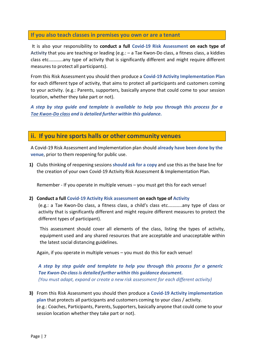#### **If you also teach classes in premises you own or are a tenant**

It is also your responsibility to **conduct a full Covid‐19 Risk Assessment on each type of Activity** that you are teaching or leading (e.g.: – a Tae Kwon‐Do class, a fitness class, a kiddies class etc.………..any type of activity that is significantly different and might require different measures to protect all participants).

From this Risk Assessment you should then produce a **Covid‐19 Activity Implementation Plan**  for each different type of activity, that aims to protect all participants and customers coming to your activity. (e.g.: Parents, supporters, basically anyone that could come to your session location, whether they take part or not).

*A step by step guide and template is available to help you through this process for a Tae Kwon‐Do class and is detailed further within this guidance.*

## **ii. If you hire sports halls or other community venues**

A Covid‐19 Risk Assessment and Implementation plan should **already have been done by the venue**, prior to them reopening for public use.

**1)** Clubs thinking of reopening sessions **should ask for a copy** and use this as the base line for the creation of your own Covid‐19 Activity Risk Assessment & Implementation Plan.

Remember ‐ If you operate in multiple venues – you must get this for each venue!

#### **2) Conduct a full Covid‐19 Activity Risk assessment on each type of Activity**

(e.g.: a Tae Kwon‐Do class, a fitness class, a child's class etc.………..any type of class or activity that is significantly different and might require different measures to protect the different types of participant).

This assessment should cover all elements of the class, listing the types of activity, equipment used and any shared resources that are acceptable and unacceptable within the latest social distancing guidelines.

Again, if you operate in multiple venues – you must do this for each venue!

*A step by step guide and template to help you through this process for a generic Tae Kwon‐Do class is detailed further within this guidance document. (You must adapt, expand or create a new risk assessment for each different activity)*

**3)** From this Risk Assessment you should then produce a **Covid‐19 Activity implementation plan** that protects all participants and customers coming to your class / activity. (e.g.: Coaches, Participants, Parents, Supporters, basically anyone that could come to your session location whether they take part or not).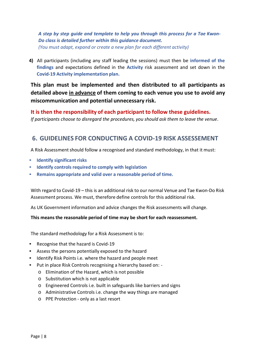*A step by step guide and template to help you through this process for a Tae Kwon‐ Do class is detailed further within this guidance document. (You must adapt, expand or create a new plan for each different activity)*

**4)** All participants (including any staff leading the sessions) must then be **informed of the findings**  and expectations defined in the **Activity** risk assessment and set down in the **Covid‐19 Activity implementation plan.**

**This plan must be implemented and then distributed to all participants as detailed above in advance of them coming to each venue you use to avoid any miscommunication and potential unnecessary risk.**

## **It is then the responsibility of each participant to follow these guidelines.**

*If participants choose to disregard the procedures, you should ask them to leave the venue.*

## **6. GUIDELINES FOR CONDUCTING A COVID‐19 RISK ASSESSEMENT**

A Risk Assessment should follow a recognised and standard methodology, in that it must:

- **Identify significant risks**
- **Identify controls required to comply with legislation**
- **Remains appropriate and valid over a reasonable period of time.**

With regard to Covid‐19 – this is an additional risk to our normal Venue and Tae Kwon‐Do Risk Assessment process. We must, therefore define controls for this additional risk.

As UK Government information and advice changes the Risk assessments will change.

#### **This means the reasonable period of time may be short for each reassessment.**

The standard methodology for a Risk Assessment is to:

- Recognise that the hazard is Covid‐19
- Assess the persons potentially exposed to the hazard
- Identify Risk Points i.e. where the hazard and people meet
- Put in place Risk Controls recognising a hierarchy based on: ‐
	- o Elimination of the Hazard, which is not possible
	- o Substitution which is not applicable
	- o Engineered Controls i.e. built in safeguards like barriers and signs
	- o Administrative Controls i.e. change the way things are managed
	- o PPE Protection ‐ only as a last resort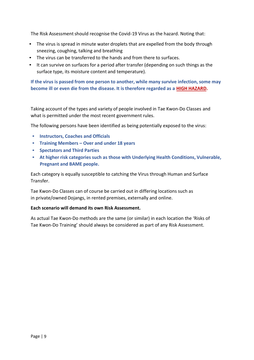The Risk Assessment should recognise the Covid‐19 Virus as the hazard. Noting that:

- The virus is spread in minute water droplets that are expelled from the body through sneezing, coughing, talking and breathing
- The virus can be transferred to the hands and from there to surfaces.
- It can survive on surfaces for a period after transfer (depending on such things as the surface type, its moisture content and temperature).

**If the virus is passed from one person to another, while many survive infection, some may become ill or even die from the disease. It is therefore regarded as a HIGH HAZARD.**

Taking account of the types and variety of people involved in Tae Kwon‐Do Classes and what is permitted under the most recent government rules.

The following persons have been identified as being potentially exposed to the virus:

- **Instructors, Coaches and Officials**
- **Training Members Over and under 18 years**
- **Spectators and Third Parties**
- **At higher risk categories such as those with Underlying Health Conditions, Vulnerable, Pregnant and BAME people.**

Each category is equally susceptible to catching the Virus through Human and Surface Transfer.

Tae Kwon‐Do Classes can of course be carried out in differing locations such as in private/owned Dojangs, in rented premises, externally and online.

#### **Each scenario will demand its own Risk Assessment.**

As actual Tae Kwon‐Do methods are the same (or similar) in each location the 'Risks of Tae Kwon‐Do Training' should always be considered as part of any Risk Assessment.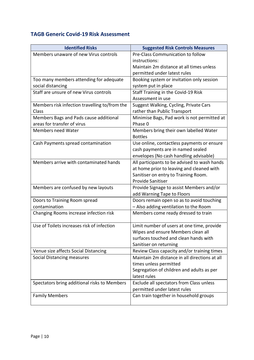## **TAGB Generic Covid‐19 Risk Assessment**

| <b>Identified Risks</b>                       | <b>Suggested Risk Controls Measures</b>       |
|-----------------------------------------------|-----------------------------------------------|
| Members unaware of new Virus controls         | Pre-Class Communication to follow             |
|                                               | instructions:                                 |
|                                               | Maintain 2m distance at all times unless      |
|                                               | permitted under latest rules                  |
| Too many members attending for adequate       | Booking system or invitation only session     |
| social distancing                             | system put in place                           |
| Staff are unsure of new Virus controls        | Staff Training in the Covid-19 Risk           |
|                                               | Assessment in use                             |
| Members risk infection travelling to/from the | Suggest Walking, Cycling, Private Cars        |
| Class                                         | rather than Public Transport                  |
| Members Bags and Pads cause additional        | Minimise Bags, Pad work is not permitted at   |
| areas for transfer of virus                   | Phase 0                                       |
| Members need Water                            | Members bring their own labelled Water        |
|                                               | <b>Bottles</b>                                |
| Cash Payments spread contamination            | Use online, contactless payments or ensure    |
|                                               | cash payments are in named sealed             |
|                                               | envelopes (No cash handling advisable)        |
| Members arrive with contaminated hands        | All participants to be advised to wash hands  |
|                                               | at home prior to leaving and cleaned with     |
|                                               | Sanitiser on entry to Training Room.          |
|                                               | <b>Provide Sanitiser</b>                      |
| Members are confused by new layouts           | Provide Signage to assist Members and/or      |
|                                               | add Warning Tape to Floors                    |
| Doors to Training Room spread                 | Doors remain open so as to avoid touching     |
| contamination                                 | - Also adding ventilation to the Room         |
| Changing Rooms increase infection risk        | Members come ready dressed to train           |
|                                               |                                               |
| Use of Toilets increases risk of infection    | Limit number of users at one time, provide    |
|                                               | Wipes and ensure Members clean all            |
|                                               | surfaces touched and clean hands with         |
|                                               | Sanitiser on returning                        |
| Venue size affects Social Distancing          | Review Class capacity and/or training times   |
| <b>Social Distancing measures</b>             | Maintain 2m distance in all directions at all |
|                                               | times unless permitted                        |
|                                               | Segregation of children and adults as per     |
|                                               | latest rules                                  |
| Spectators bring additional risks to Members  | Exclude all spectators from Class unless      |
|                                               | permitted under latest rules                  |
| <b>Family Members</b>                         | Can train together in household groups        |
|                                               |                                               |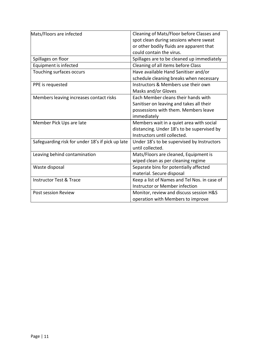| Mats/Floors are infected                         | Cleaning of Mats/Floor before Classes and    |
|--------------------------------------------------|----------------------------------------------|
|                                                  | spot clean during sessions where sweat       |
|                                                  | or other bodily fluids are apparent that     |
|                                                  | could contain the virus.                     |
| Spillages on floor                               | Spillages are to be cleaned up immediately   |
| Equipment is infected                            | Cleaning of all items before Class           |
| Touching surfaces occurs                         | Have available Hand Sanitiser and/or         |
|                                                  | schedule cleaning breaks when necessary      |
| PPE is requested                                 | Instructors & Members use their own          |
|                                                  | Masks and/or Gloves                          |
| Members leaving increases contact risks          | Each Member cleans their hands with          |
|                                                  | Sanitiser on leaving and takes all their     |
|                                                  | possessions with them. Members leave         |
|                                                  | immediately                                  |
| Member Pick Ups are late                         | Members wait in a quiet area with social     |
|                                                  | distancing. Under 18's to be supervised by   |
|                                                  | Instructors until collected.                 |
| Safeguarding risk for under 18's if pick up late | Under 18's to be supervised by Instructors   |
|                                                  | until collected.                             |
| Leaving behind contamination                     | Mats/Floors are cleaned, Equipment is        |
|                                                  | wiped clean as per cleaning regime           |
| Waste disposal                                   | Separate bins for potentially affected       |
|                                                  | material. Secure disposal                    |
| <b>Instructor Test &amp; Trace</b>               | Keep a list of Names and Tel Nos. in case of |
|                                                  | Instructor or Member infection               |
| Post session Review                              | Monitor, review and discuss session H&S      |
|                                                  | operation with Members to improve            |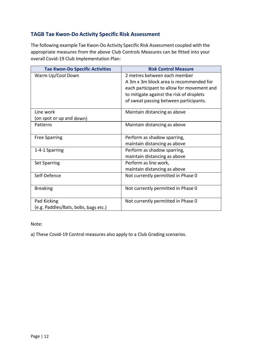## **TAGB Tae Kwon‐Do Activity Specific Risk Assessment**

The following example Tae Kwon‐Do Activity Specific Risk Assessment coupled with the appropriate measures from the above Club Controls Measures can be fitted into your overall Covid‐19 Club Implementation Plan:

| <b>Tae Kwon-Do Specific Activities</b> | <b>Risk Control Measure</b>                |
|----------------------------------------|--------------------------------------------|
| Warm Up/Cool Down                      | 2 metres between each member               |
|                                        | A 3m x 3m block area is recommended for    |
|                                        | each participant to allow for movement and |
|                                        | to mitigate against the risk of droplets   |
|                                        | of sweat passing between participants.     |
| Line work                              | Maintain distancing as above               |
| (on spot or up and down)               |                                            |
| Patterns                               | Maintain distancing as above               |
| <b>Free Sparring</b>                   | Perform as shadow sparring,                |
|                                        | maintain distancing as above               |
| 1-4-1 Sparring                         | Perform as shadow sparring,                |
|                                        | maintain distancing as above               |
| <b>Set Sparring</b>                    | Perform as line work,                      |
|                                        | maintain distancing as above               |
| Self-Defence                           | Not currently permitted in Phase 0         |
| <b>Breaking</b>                        | Not currently permitted in Phase 0         |
| Pad Kicking                            | Not currently permitted in Phase 0         |
| (e.g. Paddles/Bats, bobs, bags etc.)   |                                            |

Note:

a) These Covid‐19 Control measures also apply to a Club Grading scenarios.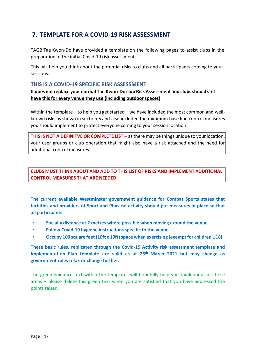## **7. TEMPLATE FOR A COVID‐19 RISK ASSESSMENT**

TAGB Tae Kwon‐Do have provided a template on the following pages to assist clubs in the preparation of the initial Covid‐19 risk assessment.

This will help you think about the potential risks to clubs and all participants coming to your sessions.

#### **THIS IS A COVID‐19 SPECIFIC RISK ASSESSMENT**

**It does not replace your normal Tae Kwon‐Do club Risk Assessment and clubs should still have this for every venue they use (including outdoor spaces)**

Within the template – to help you get started – we have included the most common and wellknown risks as shown in section 6 and also included the minimum base line control measures you should implement to protect everyone coming to your session location.

**THIS IS NOT A DEFINITVE OR COMPLETE LIST** – as there may be things unique to your location, your user groups or club operation that might also have a risk attached and the need for additional control measures.

**CLUBS MUST THINK ABOUT AND ADD TO THIS LIST OF RISKS AND IMPLEMENT ADDITIONAL CONTROL MEASURES THAT ARE NEEDED.**

**The current available Westminster government guidance for Combat Sports states that facilities and providers of Sport and Physical activity should put measures in place so that all participants:**

- **Socially distance at 2 metres where possible when moving around the venue**
- **Follow Covid‐19 hygiene instructions specific to the venue**
- **Occupy 100 square feet (10ft x 10ft) space when exercising (exempt for children U18)**

**These basic rules, replicated through the Covid‐19 Activity risk assessment template and**  Implementation Plan template are valid as at 25<sup>th</sup> March 2021 but may change as **government rules relax or change further.**

The green guidance text within the templates will hopefully help you think about all these areas – please delete this green text when you are satisfied that you have addressed the points raised.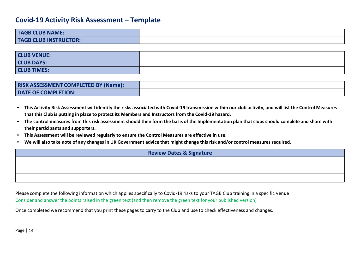## **Covid‐19 Activity Risk Assessment – Template**

| <b>TAGB CLUB NAME:</b>       |  |
|------------------------------|--|
| <b>TAGB CLUB INSTRUCTOR:</b> |  |

| <b>CLUB VENUE:</b> |  |
|--------------------|--|
| <b>CLUB DAYS:</b>  |  |
| <b>CLUB TIMES:</b> |  |

| <b>RISK ASSESSMENT COMPLETED BY (Name):</b> |  |
|---------------------------------------------|--|
| DATE OF COMPLETION:                         |  |

- • **This Activity Risk Assessment will identify the risks associated with Covid‐19 transmission within our club activity, and will list the Control Measures that this Club is putting in place to protect its Members and Instructors from the Covid‐19 hazard.**
- **The control measures from this risk assessment should then form the basis of the Implementation plan that clubs should complete and share with their participants and supporters.**
- •**This Assessment will be reviewed regularly to ensure the Control Measures are effective in use.**
- •**We will also take note of any changes in UK Government advice that might change this risk and/or control measures required.**

| <b>Review Dates &amp; Signature</b> |  |  |
|-------------------------------------|--|--|
|                                     |  |  |
|                                     |  |  |
|                                     |  |  |

Please complete the following information which applies specifically to Covid‐19 risks to your TAGB Club training in a specific Venue Consider and answer the points raised in the green text (and then remove the green text for your published version)

Once completed we recommend that you print these pages to carry to the Club and use to check effectiveness and changes.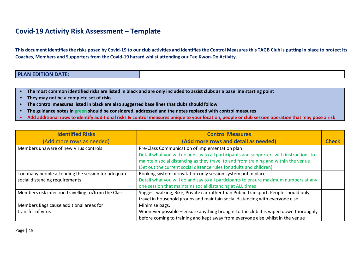## **Covid‐19 Activity Risk Assessment – Template**

**This document identifies the risks posed by Covid‐19 to our club activities and identifies the Control Measures this TAGB Club is putting in place to protect its Coaches, Members and Supporters from the Covid‐19 hazard whilst attending our Tae Kwon‐Do Activity.**

| <b>PLAN EDITION DATE:</b><br><b>Contract Contract Contract Contract Contract Contract Contract Contract Contract Contract Contract Contract Co</b> |
|----------------------------------------------------------------------------------------------------------------------------------------------------|
|----------------------------------------------------------------------------------------------------------------------------------------------------|

- •**The most common identified risks are listed in black and are only included to assist clubs as a base line starting point**
- •**They may not be a complete set of risks**
- •**The control measures listed in black are also suggested base lines that clubs should follow**
- •**The guidance notes in green should be considered, addressed and the notes replaced with control measures**
- •**Add additional rows to identify additional risks & control measures unique to your location, people or club session operation that may pose a risk**

| <b>Identified Risks</b>                             | <b>Control Measures</b>                                                                 |       |
|-----------------------------------------------------|-----------------------------------------------------------------------------------------|-------|
| (Add more rows as needed)                           | (Add more rows and detail as needed)                                                    | Check |
| Members unaware of new Virus controls               | Pre-Class Communication of implementation plan                                          |       |
|                                                     | Detail what you will do and say to all participants and supporters with instructions to |       |
|                                                     | maintain social distancing as they travel to and from training and within the venue     |       |
|                                                     | (Set out the current social distance rules for adults and children)                     |       |
| Too many people attending the session for adequate  | Booking system or invitation only session system put in place                           |       |
| social distancing requirements                      | Detail what you will do and say to all participants to ensure maximum numbers at any    |       |
|                                                     | one session that maintains social distancing at ALL times                               |       |
| Members risk infection travelling to/from the Class | Suggest walking, Bike, Private car rather than Public Transport. People should only     |       |
|                                                     | travel in household groups and maintain social distancing with everyone else            |       |
| Members Bags cause additional areas for             | Minimise bags.                                                                          |       |
| transfer of virus                                   | Whenever possible - ensure anything brought to the club it is wiped down thoroughly     |       |
|                                                     | before coming to training and kept away from everyone else whilst in the venue          |       |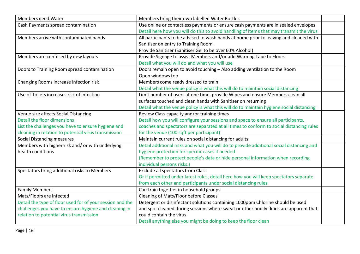| Members need Water                                        | Members bring their own labelled Water Bottles                                           |  |
|-----------------------------------------------------------|------------------------------------------------------------------------------------------|--|
| Cash Payments spread contamination                        | Use online or contactless payments or ensure cash payments are in sealed envelopes       |  |
|                                                           | Detail here how you will do this to avoid handling of items that may transmit the virus  |  |
| Members arrive with contaminated hands                    | All participants to be advised to wash hands at home prior to leaving and cleaned with   |  |
|                                                           | Sanitiser on entry to Training Room.                                                     |  |
|                                                           | Provide Sanitiser (Sanitiser Gel to be over 60% Alcohol)                                 |  |
| Members are confused by new layouts                       | Provide Signage to assist Members and/or add Warning Tape to Floors                      |  |
|                                                           | Detail what you will do and what you will use                                            |  |
| Doors to Training Room spread contamination               | Doors remain open to avoid touching - Also adding ventilation to the Room                |  |
|                                                           | Open windows too                                                                         |  |
| Changing Rooms increase infection risk                    | Members come ready dressed to train                                                      |  |
|                                                           | Detail what the venue policy is what this will do to maintain social distancing          |  |
| Use of Toilets increases risk of infection                | Limit number of users at one time, provide Wipes and ensure Members clean all            |  |
|                                                           | surfaces touched and clean hands with Sanitiser on returning                             |  |
|                                                           | Detail what the venue policy is what this will do to maintain hygiene social distancing  |  |
| Venue size affects Social Distancing                      | Review Class capacity and/or training times                                              |  |
| Detail the floor dimensions                               | Detail how you will configure your sessions and space to ensure all participants,        |  |
| List the challenges you have to ensure hygiene and        | coaches and spectators are separated at all times to conform to social distancing rules  |  |
| cleaning in relation to potential virus transmission      | for the venue (100 sqft per participant)                                                 |  |
| Social Distancing measures                                | Maintain current rules on social distancing for adults                                   |  |
| Members with higher risk and/ or with underlying          | Detail additional risks and what you will do to provide additional social distancing and |  |
| health conditions                                         | hygiene protection for specific cases if needed                                          |  |
|                                                           | (Remember to protect people's data or hide personal information when recording           |  |
|                                                           | individual persons risks.)                                                               |  |
| Spectators bring additional risks to Members              | <b>Exclude all spectators from Class</b>                                                 |  |
|                                                           | Or if permitted under latest rules, detail here how you will keep spectators separate    |  |
|                                                           | from each other and participants under social distancing rules                           |  |
| <b>Family Members</b>                                     | Can train together in household groups                                                   |  |
| Mats/Floors are infected                                  | Cleaning of Mats/Floor before Classes                                                    |  |
| Detail the type of floor used for of your session and the | Detergent or disinfectant solutions containing 1000ppm Chlorine should be used           |  |
| challenges you have to ensure hygiene and cleaning in     | and spot cleaned during sessions where sweat or other bodily fluids are apparent that    |  |
| relation to potential virus transmission                  | could contain the virus.                                                                 |  |
|                                                           | Detail anything else you might be doing to keep the floor clean                          |  |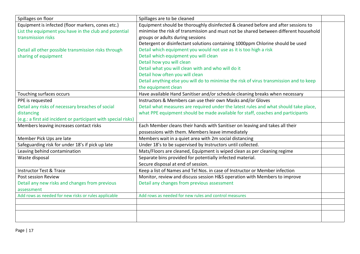| Spillages on floor                                             | Spillages are to be cleaned                                                             |  |
|----------------------------------------------------------------|-----------------------------------------------------------------------------------------|--|
| Equipment is infected (floor markers, cones etc.)              | Equipment should be thoroughly disinfected & cleaned before and after sessions to       |  |
| List the equipment you have in the club and potential          | minimise the risk of transmission and must not be shared between different household    |  |
| transmission risks                                             | groups or adults during sessions                                                        |  |
|                                                                | Detergent or disinfectant solutions containing 1000ppm Chlorine should be used          |  |
| Detail all other possible transmission risks through           | Detail which equipment you would not use as it is too high a risk                       |  |
| sharing of equipment                                           | Detail which equipment you will clean                                                   |  |
|                                                                | Detail how you will clean                                                               |  |
|                                                                | Detail what you will clean with and who will do it                                      |  |
|                                                                | Detail how often you will clean                                                         |  |
|                                                                | Detail anything else you will do to minimise the risk of virus transmission and to keep |  |
|                                                                | the equipment clean                                                                     |  |
| Touching surfaces occurs                                       | Have available Hand Sanitiser and/or schedule cleaning breaks when necessary            |  |
| PPE is requested                                               | Instructors & Members can use their own Masks and/or Gloves                             |  |
| Detail any risks of necessary breaches of social               | Detail what measures are required under the latest rules and what should take place,    |  |
| distancing                                                     | what PPE equipment should be made available for staff, coaches and participants         |  |
| (e.g.: a first aid incident or participant with special risks) |                                                                                         |  |
| Members leaving increases contact risks                        | Each Member cleans their hands with Sanitiser on leaving and takes all their            |  |
|                                                                | possessions with them. Members leave immediately                                        |  |
| Member Pick Ups are late                                       | Members wait in a quiet area with 2m social distancing                                  |  |
| Safeguarding risk for under 18's if pick up late               | Under 18's to be supervised by Instructors until collected.                             |  |
| Leaving behind contamination                                   | Mats/Floors are cleaned, Equipment is wiped clean as per cleaning regime                |  |
| Waste disposal                                                 | Separate bins provided for potentially infected material.                               |  |
|                                                                | Secure disposal at end of session.                                                      |  |
| <b>Instructor Test &amp; Trace</b>                             | Keep a list of Names and Tel Nos. in case of Instructor or Member infection             |  |
| <b>Post session Review</b>                                     | Monitor, review and discuss session H&S operation with Members to improve               |  |
| Detail any new risks and changes from previous                 | Detail any changes from previous assessment                                             |  |
| assessment                                                     |                                                                                         |  |
| Add rows as needed for new risks or rules applicable           | Add rows as needed for new rules and control measures                                   |  |
|                                                                |                                                                                         |  |
|                                                                |                                                                                         |  |
|                                                                |                                                                                         |  |
|                                                                |                                                                                         |  |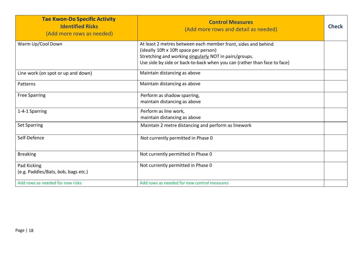| <b>Tae Kwon-Do Specific Activity</b><br><b>Identified Risks</b><br>(Add more rows as needed) | <b>Control Measures</b><br>(Add more rows and detail as needed)                                                                                                                                                                               | <b>Check</b> |
|----------------------------------------------------------------------------------------------|-----------------------------------------------------------------------------------------------------------------------------------------------------------------------------------------------------------------------------------------------|--------------|
| Warm Up/Cool Down                                                                            | At least 2 metres between each member front, sides and behind<br>(ideally 10ft x 10ft space per person)<br>Stretching and working singularly NOT in pairs/groups.<br>Use side by side or back-to-back when you can (rather than face to face) |              |
| Line work (on spot or up and down)                                                           | Maintain distancing as above                                                                                                                                                                                                                  |              |
| Patterns                                                                                     | Maintain distancing as above                                                                                                                                                                                                                  |              |
| <b>Free Sparring</b>                                                                         | Perform as shadow sparring,<br>maintain distancing as above                                                                                                                                                                                   |              |
| 1-4-1 Sparring                                                                               | Perform as line work,<br>maintain distancing as above                                                                                                                                                                                         |              |
| <b>Set Sparring</b>                                                                          | Maintain 2 metre distancing and perform as linework                                                                                                                                                                                           |              |
| Self-Defence                                                                                 | Not currently permitted in Phase 0                                                                                                                                                                                                            |              |
| <b>Breaking</b>                                                                              | Not currently permitted in Phase 0                                                                                                                                                                                                            |              |
| Pad Kicking<br>(e.g. Paddles/Bats, bob, bags etc.)                                           | Not currently permitted in Phase 0                                                                                                                                                                                                            |              |
| Add rows as needed for new risks                                                             | Add rows as needed for new control measures                                                                                                                                                                                                   |              |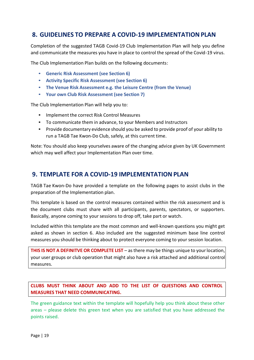## **8. GUIDELINES TO PREPARE A COVID‐19 IMPLEMENTATION PLAN**

Completion of the suggested TAGB Covid‐19 Club Implementation Plan will help you define and communicate the measures you have in place to control the spread of the Covid ‐19 virus.

The Club Implementation Plan builds on the following documents:

- **Generic Risk Assessment (see Section 6)**
- **Activity Specific Risk Assessment (see Section 6)**
- **The Venue Risk Assessment e.g. the Leisure Centre (from the Venue)**
- **Your own Club Risk Assessment (see Section 7)**

The Club Implementation Plan will help you to:

- Implement the correct Risk Control Measures
- To communicate them in advance, to your Members and Instructors
- Provide documentary evidence should you be asked to provide proof of your ability to run a TAGB Tae Kwon‐Do Club, safely, at this current time.

Note: You should also keep yourselves aware of the changing advice given by UK Government which may well affect your Implementation Plan over time.

## **9. TEMPLATE FOR A COVID‐19 IMPLEMENTATION PLAN**

TAGB Tae Kwon‐Do have provided a template on the following pages to assist clubs in the preparation of the Implementation plan.

This template is based on the control measures contained within the risk assessment and is the document clubs must share with all participants, parents, spectators, or supporters. Basically, anyone coming to your sessions to drop off, take part or watch.

Included within this template are the most common and well‐known questions you might get asked as shown in section 6. Also included are the suggested minimum base line control measures you should be thinking about to protect everyone coming to your session location.

**THIS IS NOT A DEFINITVE OR COMPLETE LIST** – as there may be things unique to your location, your user groups or club operation that might also have a risk attached and additional control measures.

**CLUBS MUST THINK ABOUT AND ADD TO THE LIST OF QUESTIONS AND CONTROL MEASURES THAT NEED COMMUNICATING.**

The green guidance text within the template will hopefully help you think about these other areas – please delete this green text when you are satisfied that you have addressed the points raised.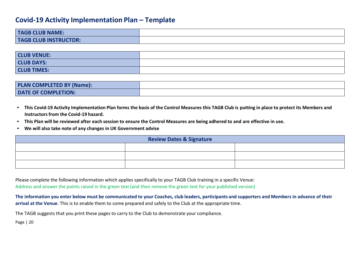## **Covid‐19 Activity Implementation Plan – Template**

| <b>TAGB CLUB NAME:</b>       |  |
|------------------------------|--|
| <b>TAGB CLUB INSTRUCTOR:</b> |  |

| <b>CLUB VENUE:</b> |  |
|--------------------|--|
| <b>CLUB DAYS:</b>  |  |
| <b>CLUB TIMES:</b> |  |

| <b>PLAN COMPLETED BY (Name):</b> |  |
|----------------------------------|--|
| <b>DATE OF COMPLETION:</b>       |  |

- **This Covid‐19 Activity Implementation Plan forms the basis of the Control Measures this TAGB Club is putting in place to protect its Members and Instructors from the Covid‐19 hazard.**
- •**This Plan will be reviewed after each session to ensure the Control Measures are being adhered to and are effective in use.**
- •**We will also take note of any changes in UK Government advise**

| <b>Review Dates &amp; Signature</b> |  |  |
|-------------------------------------|--|--|
|                                     |  |  |
|                                     |  |  |
|                                     |  |  |

Please complete the following information which applies specifically to your TAGB Club training in a specific Venue: Address and answer the points raised in the green text (and then remove the green text for your published version)

**The information you enter below must be communicated to your Coaches, club leaders, participants and supporters and Members in advance of their arrival at the Venue**. This is to enable them to come prepared and safely to the Club at the appropriate time.

The TAGB suggests that you print these pages to carry to the Club to demonstrate your compliance.

Page | 20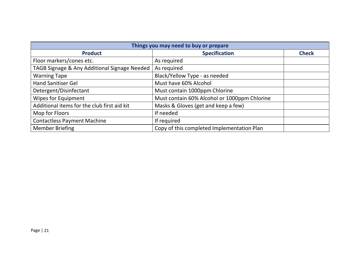| Things you may need to buy or prepare        |                                              |              |
|----------------------------------------------|----------------------------------------------|--------------|
| <b>Product</b>                               | <b>Specification</b>                         | <b>Check</b> |
| Floor markers/cones etc.                     | As required                                  |              |
| TAGB Signage & Any Additional Signage Needed | As required                                  |              |
| <b>Warning Tape</b>                          | Black/Yellow Type - as needed                |              |
| <b>Hand Sanitiser Gel</b>                    | Must have 60% Alcohol                        |              |
| Detergent/Disinfectant                       | Must contain 1000ppm Chlorine                |              |
| <b>Wipes for Equipment</b>                   | Must contain 60% Alcohol or 1000ppm Chlorine |              |
| Additional items for the club first aid kit  | Masks & Gloves (get and keep a few)          |              |
| Mop for Floors                               | If needed                                    |              |
| <b>Contactless Payment Machine</b>           | If required                                  |              |
| <b>Member Briefing</b>                       | Copy of this completed Implementation Plan   |              |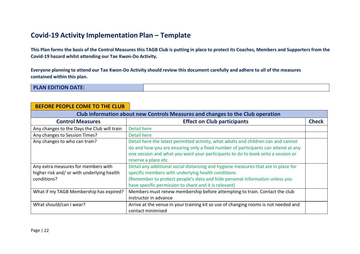## **Covid‐19 Activity Implementation Plan – Template**

**This Plan forms the basis of the Control Measures this TAGB Club is putting in place to protect its Coaches, Members and Supporters from the Covid‐19 hazard whilst attending our Tae Kwon‐Do Activity.**

**Everyone planning to attend our Tae Kwon‐Do Activity should review this document carefully and adhere to all of the measures contained within this plan.**

**PLAN EDITION DATE:**

| <b>BEFORE PEOPLE COME TO THE CLUB</b>                                                            |                                                                                                                                                                                                                                                                                   |              |
|--------------------------------------------------------------------------------------------------|-----------------------------------------------------------------------------------------------------------------------------------------------------------------------------------------------------------------------------------------------------------------------------------|--------------|
| Club information about new Controls Measures and changes to the Club operation                   |                                                                                                                                                                                                                                                                                   |              |
| <b>Control Measures</b>                                                                          | <b>Effect on Club participants</b>                                                                                                                                                                                                                                                | <b>Check</b> |
| Any changes to the Days the Club will train                                                      | <b>Detail here</b>                                                                                                                                                                                                                                                                |              |
| Any changes to Session Times?                                                                    | <b>Detail here</b>                                                                                                                                                                                                                                                                |              |
| Any changes to who can train?                                                                    | Detail here the latest permitted activity, what adults and children can and cannot<br>do and how you are ensuring only a fixed number of participants can attend at any<br>one session and what you want your participants to do to book onto a session or<br>reserve a place etc |              |
| Any extra measures for members with<br>higher risk and/ or with underlying health<br>conditions? | Detail any additional social distancing and hygiene measures that are in place for<br>specific members with underlying health conditions<br>(Remember to protect people's data and hide personal information unless you<br>have specific permission to share and it is relevant)  |              |
| What if my TAGB Membership has expired?                                                          | Members must renew membership before attempting to train. Contact the club<br>instructor in advance                                                                                                                                                                               |              |
| What should/can I wear?                                                                          | Arrive at the venue in your training kit so use of changing rooms is not needed and<br>contact minimised                                                                                                                                                                          |              |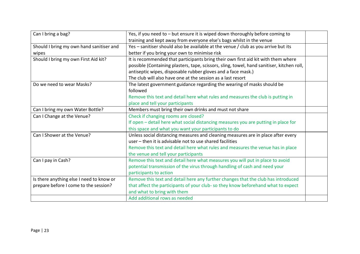| Can I bring a bag?                       | Yes, if you need to - but ensure it is wiped down thoroughly before coming to              |  |
|------------------------------------------|--------------------------------------------------------------------------------------------|--|
|                                          | training and kept away from everyone else's bags whilst in the venue                       |  |
| Should I bring my own hand sanitiser and | Yes - sanitiser should also be available at the venue / club as you arrive but its         |  |
| wipes                                    | better if you bring your own to minimise risk                                              |  |
| Should I bring my own First Aid kit?     | It is recommended that participants bring their own first aid kit with them where          |  |
|                                          | possible (Containing plasters, tape, scissors, sling, towel, hand sanitiser, kitchen roll, |  |
|                                          | antiseptic wipes, disposable rubber gloves and a face mask.)                               |  |
|                                          | The club will also have one at the session as a last resort                                |  |
| Do we need to wear Masks?                | The latest government guidance regarding the wearing of masks should be                    |  |
|                                          | followed                                                                                   |  |
|                                          | Remove this text and detail here what rules and measures the club is putting in            |  |
|                                          | place and tell your participants                                                           |  |
| Can I bring my own Water Bottle?         | Members must bring their own drinks and must not share                                     |  |
| Can I Change at the Venue?               | Check if changing rooms are closed?                                                        |  |
|                                          | If open - detail here what social distancing measures you are putting in place for         |  |
|                                          | this space and what you want your participants to do                                       |  |
| Can I Shower at the Venue?               | Unless social distancing measures and cleaning measures are in place after every           |  |
|                                          | user - then it is advisable not to use shared facilities                                   |  |
|                                          | Remove this text and detail here what rules and measures the venue has in place            |  |
|                                          | the venue and tell your participants                                                       |  |
| Can I pay in Cash?                       | Remove this text and detail here what measures you will put in place to avoid              |  |
|                                          | potential transmission of the virus through handling of cash and need your                 |  |
|                                          | participants to action                                                                     |  |
| Is there anything else I need to know or | Remove this text and detail here any further changes that the club has introduced          |  |
| prepare before I come to the session?    | that affect the participants of your club- so they know beforehand what to expect          |  |
|                                          | and what to bring with them                                                                |  |
|                                          | Add additional rows as needed                                                              |  |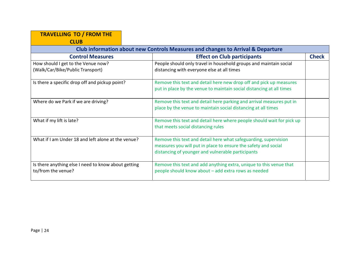| <b>TRAVELLING TO / FROM THE</b>                                                 |                                                                       |              |
|---------------------------------------------------------------------------------|-----------------------------------------------------------------------|--------------|
| <b>CLUB</b>                                                                     |                                                                       |              |
| Club information about new Controls Measures and changes to Arrival & Departure |                                                                       |              |
| <b>Control Measures</b>                                                         | <b>Effect on Club participants</b>                                    | <b>Check</b> |
| How should I get to the Venue now?                                              | People should only travel in household groups and maintain social     |              |
| (Walk/Car/Bike/Public Transport)                                                | distancing with everyone else at all times                            |              |
| Is there a specific drop off and pickup point?                                  | Remove this text and detail here new drop off and pick up measures    |              |
|                                                                                 | put in place by the venue to maintain social distancing at all times  |              |
| Where do we Park if we are driving?                                             | Remove this text and detail here parking and arrival measures put in  |              |
|                                                                                 | place by the venue to maintain social distancing at all times         |              |
| What if my lift is late?                                                        | Remove this text and detail here where people should wait for pick up |              |
|                                                                                 | that meets social distancing rules                                    |              |
| What if I am Under 18 and left alone at the venue?                              | Remove this text and detail here what safeguarding, supervision       |              |
|                                                                                 | measures you will put in place to ensure the safety and social        |              |
|                                                                                 | distancing of younger and vulnerable participants                     |              |
| Is there anything else I need to know about getting                             | Remove this text and add anything extra, unique to this venue that    |              |
| to/from the venue?                                                              | people should know about - add extra rows as needed                   |              |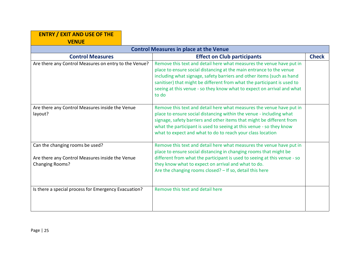| <b>ENTRY / EXIT AND USE OF THE</b><br><b>VENUE</b>                                                           |                                                                                                                                                                                                                                                                                                                                                                                    |              |  |
|--------------------------------------------------------------------------------------------------------------|------------------------------------------------------------------------------------------------------------------------------------------------------------------------------------------------------------------------------------------------------------------------------------------------------------------------------------------------------------------------------------|--------------|--|
| <b>Control Measures in place at the Venue</b>                                                                |                                                                                                                                                                                                                                                                                                                                                                                    |              |  |
| <b>Control Measures</b>                                                                                      | <b>Effect on Club participants</b>                                                                                                                                                                                                                                                                                                                                                 | <b>Check</b> |  |
| Are there any Control Measures on entry to the Venue?                                                        | Remove this text and detail here what measures the venue have put in<br>place to ensure social distancing at the main entrance to the venue<br>including what signage, safety barriers and other items (such as hand<br>sanitiser) that might be different from what the participant is used to<br>seeing at this venue - so they know what to expect on arrival and what<br>to do |              |  |
| Are there any Control Measures inside the Venue<br>layout?                                                   | Remove this text and detail here what measures the venue have put in<br>place to ensure social distancing within the venue - including what<br>signage, safety barriers and other items that might be different from<br>what the participant is used to seeing at this venue - so they know<br>what to expect and what to do to reach your class location                          |              |  |
| Can the changing rooms be used?<br>Are there any Control Measures inside the Venue<br><b>Changing Rooms?</b> | Remove this text and detail here what measures the venue have put in<br>place to ensure social distancing in changing rooms that might be<br>different from what the participant is used to seeing at this venue - so<br>they know what to expect on arrival and what to do.<br>Are the changing rooms closed? - If so, detail this here                                           |              |  |
| Is there a special process for Emergency Evacuation?                                                         | Remove this text and detail here                                                                                                                                                                                                                                                                                                                                                   |              |  |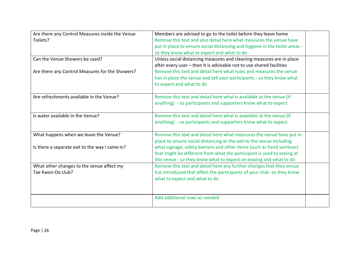| Are there any Control Measures inside the Venue<br>Toilets?    | Members are advised to go to the toilet before they leave home<br>Remove this text and also detail here what measures the venue have<br>put in place to ensure social distancing and hygiene in the toilet areas -<br>so they know what to expect and what to do |  |
|----------------------------------------------------------------|------------------------------------------------------------------------------------------------------------------------------------------------------------------------------------------------------------------------------------------------------------------|--|
| Can the Venue Showers be used?                                 | Unless social distancing measures and cleaning measures are in place<br>after every user - then it is advisable not to use shared facilities                                                                                                                     |  |
| Are there any Control Measures for the Showers?                | Remove this text and detail here what rules and measures the venue<br>has in place the venue and tell your participants - so they know what<br>to expect and what to do                                                                                          |  |
| Are refreshments available in the Venue?                       | Remove this text and detail here what is available at the venue (if<br>anything) - so participants and supporters know what to expect                                                                                                                            |  |
| Is water available in the Venue?                               | Remove this text and detail here what is available at the venue (if<br>anything) - so participants and supporters know what to expect                                                                                                                            |  |
| What happens when we leave the Venue?                          | Remove this text and detail here what measures the venue have put in<br>place to ensure social distancing at the exit to the venue including                                                                                                                     |  |
| Is there a separate exit to the way I came in?                 | what signage, safety barriers and other items (such as hand sanitiser)<br>that might be different from what the participant is used to seeing at<br>this venue - so they know what to expect on leaving and what to do                                           |  |
| What other changes to the venue affect my<br>Tae Kwon-Do club? | Remove this text and detail here any further changes that they venue<br>has introduced that affect the participants of your club-so they know<br>what to expect and what to do                                                                                   |  |
|                                                                | Add additional rows as needed                                                                                                                                                                                                                                    |  |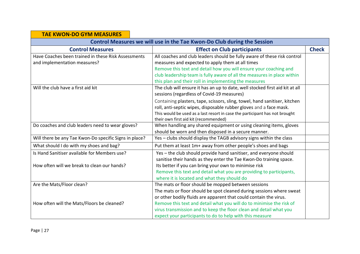#### **TAE KWON‐DO GYM MEASURES**

| Control Measures we will use in the Tae Kwon-Do Club during the Session |                                                                              |              |
|-------------------------------------------------------------------------|------------------------------------------------------------------------------|--------------|
| <b>Control Measures</b>                                                 | <b>Effect on Club participants</b>                                           | <b>Check</b> |
| Have Coaches been trained in these Risk Assessments                     | All coaches and club leaders should be fully aware of these risk control     |              |
| and implementation measures?                                            | measures and expected to apply them at all times                             |              |
|                                                                         | Remove this text and detail how you will ensure your coaching and            |              |
|                                                                         | club leadership team is fully aware of all the measures in place within      |              |
|                                                                         | this plan and their roll in implementing the measures                        |              |
| Will the club have a first aid kit                                      | The club will ensure it has an up to date, well stocked first aid kit at all |              |
|                                                                         | sessions (regardless of Covid-19 measures)                                   |              |
|                                                                         | Containing plasters, tape, scissors, sling, towel, hand sanitiser, kitchen   |              |
|                                                                         | roll, anti-septic wipes, disposable rubber gloves and a face mask.           |              |
|                                                                         | This would be used as a last resort in case the participant has not brought  |              |
|                                                                         | their own first aid kit (recommended)                                        |              |
| Do coaches and club leaders need to wear gloves?                        | When handling any shared equipment or using cleaning items, gloves           |              |
|                                                                         | should be worn and then disposed in a secure manner.                         |              |
| Will there be any Tae Kwon-Do specific Signs in place?                  | Yes - clubs should display the TAGB advisory signs within the class          |              |
| What should I do with my shoes and bag?                                 | Put them at least 1m+ away from other people's shoes and bags                |              |
| Is Hand Sanitiser available for Members use?                            | Yes - the club should provide hand sanitiser, and everyone should            |              |
|                                                                         | sanitise their hands as they enter the Tae Kwon-Do training space.           |              |
| How often will we break to clean our hands?                             | Its better if you can bring your own to minimise risk                        |              |
|                                                                         | Remove this text and detail what you are providing to participants,          |              |
|                                                                         | where it is located and what they should do                                  |              |
| Are the Mats/Floor clean?                                               | The mats or floor should be mopped between sessions                          |              |
|                                                                         | The mats or floor should be spot cleaned during sessions where sweat         |              |
|                                                                         | or other bodily fluids are apparent that could contain the virus.            |              |
| How often will the Mats/Floors be cleaned?                              | Remove this text and detail what you will do to minimise the risk of         |              |
|                                                                         | virus transmission and to keep the floor clean and detail what you           |              |
|                                                                         | expect your participants to do to help with this measure                     |              |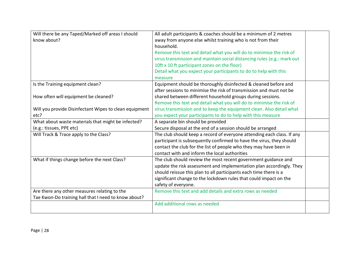| Will there be any Taped/Marked off areas I should<br>know about?         | All adult participants & coaches should be a minimum of 2 metres<br>away from anyone else whilst training who is not from their<br>household.<br>Remove this text and detail what you will do to minimise the risk of<br>virus transmission and maintain social distancing rules (e.g.: mark out<br>10ft x 10 ft participant zones on the floor)<br>Detail what you expect your participants to do to help with this |  |
|--------------------------------------------------------------------------|----------------------------------------------------------------------------------------------------------------------------------------------------------------------------------------------------------------------------------------------------------------------------------------------------------------------------------------------------------------------------------------------------------------------|--|
|                                                                          | measure                                                                                                                                                                                                                                                                                                                                                                                                              |  |
| Is the Training equipment clean?<br>How often will equipment be cleaned? | Equipment should be thoroughly disinfected & cleaned before and<br>after sessions to minimise the risk of transmission and must not be<br>shared between different household groups during sessions.                                                                                                                                                                                                                 |  |
|                                                                          | Remove this text and detail what you will do to minimise the risk of                                                                                                                                                                                                                                                                                                                                                 |  |
| Will you provide Disinfectant Wipes to clean equipment                   | virus transmission and to keep the equipment clean. Also detail what                                                                                                                                                                                                                                                                                                                                                 |  |
| etc?                                                                     | you expect your participants to do to help with this measure                                                                                                                                                                                                                                                                                                                                                         |  |
| What about waste materials that might be infected?                       | A separate bin should be provided                                                                                                                                                                                                                                                                                                                                                                                    |  |
| (e.g.: tissues, PPE etc)                                                 | Secure disposal at the end of a session should be arranged                                                                                                                                                                                                                                                                                                                                                           |  |
| Will Track & Trace apply to the Class?                                   | The club should keep a record of everyone attending each class. If any<br>participant is subsequently confirmed to have the virus, they should<br>contact the club for the list of people who they may have been in<br>contact with and inform the local authorities                                                                                                                                                 |  |
| What if things change before the next Class?                             | The club should review the most recent government guidance and<br>update the risk assessment and implementation plan accordingly. They<br>should reissue this plan to all participants each time there is a<br>significant change to the lockdown rules that could impact on the<br>safety of everyone.                                                                                                              |  |
| Are there any other measures relating to the                             | Remove this text and add details and extra rows as needed                                                                                                                                                                                                                                                                                                                                                            |  |
| Tae Kwon-Do training hall that I need to know about?                     |                                                                                                                                                                                                                                                                                                                                                                                                                      |  |
|                                                                          | Add additional rows as needed                                                                                                                                                                                                                                                                                                                                                                                        |  |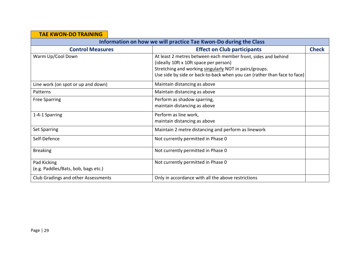| <b>TAE KWON-DO TRAINING</b>                                      |                                                                                                                                                                                                                                               |              |
|------------------------------------------------------------------|-----------------------------------------------------------------------------------------------------------------------------------------------------------------------------------------------------------------------------------------------|--------------|
| Information on how we will practice Tae Kwon-Do during the Class |                                                                                                                                                                                                                                               |              |
| <b>Control Measures</b>                                          | <b>Effect on Club participants</b>                                                                                                                                                                                                            | <b>Check</b> |
| Warm Up/Cool Down                                                | At least 2 metres between each member front, sides and behind<br>(ideally 10ft x 10ft space per person)<br>Stretching and working singularly NOT in pairs/groups.<br>Use side by side or back-to-back when you can (rather than face to face) |              |
| Line work (on spot or up and down)                               | Maintain distancing as above                                                                                                                                                                                                                  |              |
| Patterns                                                         | Maintain distancing as above                                                                                                                                                                                                                  |              |
| <b>Free Sparring</b>                                             | Perform as shadow sparring,<br>maintain distancing as above                                                                                                                                                                                   |              |
| 1-4-1 Sparring                                                   | Perform as line work,<br>maintain distancing as above                                                                                                                                                                                         |              |
| <b>Set Sparring</b>                                              | Maintain 2 metre distancing and perform as linework                                                                                                                                                                                           |              |
| Self-Defence                                                     | Not currently permitted in Phase 0                                                                                                                                                                                                            |              |
| <b>Breaking</b>                                                  | Not currently permitted in Phase 0                                                                                                                                                                                                            |              |
| Pad Kicking<br>(e.g. Paddles/Bats, bob, bags etc.)               | Not currently permitted in Phase 0                                                                                                                                                                                                            |              |
| Club Gradings and other Assessments                              | Only in accordance with all the above restrictions                                                                                                                                                                                            |              |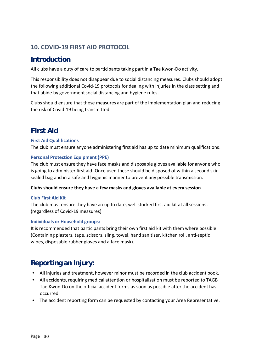## **10. COVID‐19 FIRST AID PROTOCOL**

## **Introduction**

All clubs have a duty of care to participants taking part in a Tae Kwon‐Do activity.

This responsibility does not disappear due to social distancing measures. Clubs should adopt the following additional Covid‐19 protocols for dealing with injuries in the class setting and that abide by government social distancing and hygiene rules.

Clubs should ensure that these measures are part of the implementation plan and reducing the risk of Covid‐19 being transmitted.

## **First Aid**

### **First Aid Qualifications**

The club must ensure anyone administering first aid has up to date minimum qualifications .

#### **Personal Protection Equipment (PPE)**

The club must ensure they have face masks and disposable gloves available for anyone who is going to administer first aid. Once used these should be disposed of within a second skin sealed bag and in a safe and hygienic manner to prevent any possible transmission.

#### **Clubs should ensure they have a few masks and gloves available at every session**

#### **Club First Aid Kit**

The club must ensure they have an up to date, well stocked first aid kit at all sessions . (regardless of Covid‐19 measures)

#### **Individuals or Household groups:**

It is recommended that participants bring their own first aid kit with them where possible (Containing plasters, tape, scissors, sling, towel, hand sanitiser, kitchen roll, anti‐septic wipes, disposable rubber gloves and a face mask).

## **Reporting an Injury:**

- All injuries and treatment, however minor must be recorded in the club accident book.
- All accidents, requiring medical attention or hospitalisation must be reported to TAGB Tae Kwon‐Do on the official accident forms as soon as possible after the accident has occurred.
- The accident reporting form can be requested by contacting your Area Representative.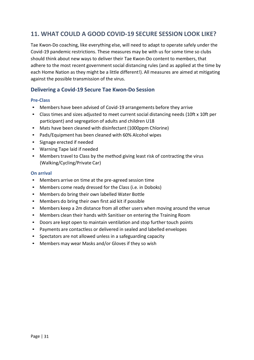## **11. WHAT COULD A GOOD COVID‐19 SECURE SESSION LOOK LIKE?**

Tae Kwon‐Do coaching, like everything else, will need to adapt to operate safely under the Covid‐19 pandemic restrictions. These measures may be with us for some time so clubs should think about new ways to deliver their Tae Kwon‐Do content to members, that adhere to the most recent government social distancing rules (and as applied at the time by each Home Nation as they might be a little different!). All measures are aimed at mitigating against the possible transmission of the virus.

## **Delivering a Covid‐19 Secure Tae Kwon‐Do Session**

#### **Pre‐Class**

- Members have been advised of Covid‐19 arrangements before they arrive
- Class times and sizes adjusted to meet current social distancing needs (10ft x 10ft per participant) and segregation of adults and children U18
- Mats have been cleaned with disinfectant (1000ppm Chlorine)
- Pads/Equipment has been cleaned with 60% Alcohol wipes
- Signage erected if needed
- Warning Tape laid if needed
- Members travel to Class by the method giving least risk of contracting the virus (Walking/Cycling/Private Car)

#### **On arrival**

- Members arrive on time at the pre-agreed session time
- Members come ready dressed for the Class (i.e. in Doboks)
- Members do bring their own labelled Water Bottle
- Members do bring their own first aid kit if possible
- Members keep a 2m distance from all other users when moving around the venue
- Members clean their hands with Sanitiser on entering the Training Room
- Doors are kept open to maintain ventilation and stop further touch points
- Payments are contactless or delivered in sealed and labelled envelopes
- Spectators are not allowed unless in a safeguarding capacity
- Members may wear Masks and/or Gloves if they so wish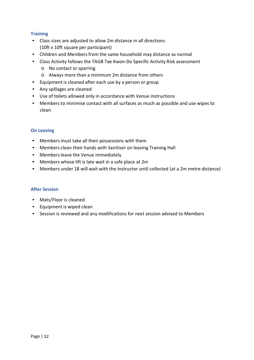### **Training**

- Class sizes are adjusted to allow 2m distance in all directions (10ft x 10ft square per participant)
- Children and Members from the same household may distance as normal
- Class Activity follows the TAGB Tae Kwon‐Do Specific Activity Risk assessment
	- o No contact or sparring
	- o Always more than a minimum 2m distance from others
- Equipment is cleaned after each use by a person or group
- Any spillages are cleaned
- Use of toilets allowed only in accordance with Venue instructions
- Members to minimise contact with all surfaces as much as possible and use wipes to clean

#### **On Leaving**

- Members must take all their possessions with them
- Members clean their hands with Sanitiser on leaving Training Hall
- Members leave the Venue immediately
- Members whose lift is late wait in a safe place at 2m
- Members under 18 will wait with the Instructor until collected (at a 2m metre distance)

#### **After Session**

- Mats/Floor is cleaned
- Equipment is wiped clean
- Session is reviewed and any modifications for next session advised to Members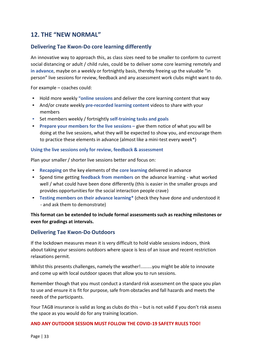## **12. THE "NEW NORMAL"**

### **Delivering Tae Kwon‐Do core learning differently**

An innovative way to approach this, as class sizes need to be smaller to conform to current social distancing or adult / child rules, could be to deliver some core learning remotely and **in advance**, maybe on a weekly or fortnightly basis, thereby freeing up the valuable "in person" live sessions for review, feedback and any assessment work clubs might want to do.

For example – coaches could:

- Hold more weekly **"online sessions** and deliver the core learning content that way
- And/or create weekly **pre‐recorded learning content** videos to share with your members
- Set members weekly / fortnightly **self‐training tasks and goals**
- **Prepare your members for the live sessions** give them notice of what you will be doing at the live sessions, what they will be expected to show you, and encourage them to practice these elements in advance (almost like a mini‐test every week\*)

#### **Using the live sessions only for review, feedback & assessment**

Plan your smaller / shorter live sessions better and focus on:

- **Recapping** on the key elements of the **core learning** delivered in advance
- Spend time getting **feedback from members** on the advance learning ‐ what worked well / what could have been done differently (this is easier in the smaller groups and provides opportunities for the social interaction people crave)
- **Testing members on their advance learning\*** (check they have done and understood it ‐ and ask them to demonstrate)

### **This format can be extended to include formal assessments such as reaching milestones or even for gradings at intervals.**

#### **Delivering Tae Kwon‐Do Outdoors**

If the lockdown measures mean it is very difficult to hold viable sessions indoors , think about taking your sessions outdoors where space is less of an issue and recent restriction relaxations permit.

Whilst this presents challenges, namely the weather!.........you might be able to innovate and come up with local outdoor spaces that allow you to run sessions.

Remember though that you must conduct a standard risk assessment on the space you plan to use and ensure it is fit for purpose, safe from obstacles and fall hazards and meets the needs of the participants.

Your TAGB insurance is valid as long as clubs do this – but is not valid if you don't risk assess the space as you would do for any training location.

#### **AND ANY OUTDOOR SESSION MUST FOLLOW THE COVID‐19 SAFETY RULES TOO!**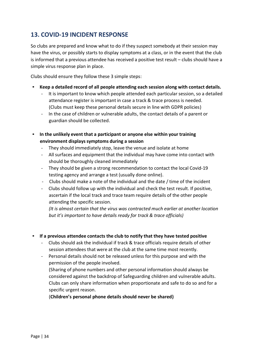## **13. COVID‐19 INCIDENT RESPONSE**

So clubs are prepared and know what to do if they suspect somebody at their session may have the virus, or possibly starts to display symptoms at a class, or in the event that the club is informed that a previous attendee has received a positive test result – clubs should have a simple virus response plan in place.

Clubs should ensure they follow these 3 simple steps:

- **Keep a detailed record of all people attending each session along with contact details.**
	- ‐ It is important to know which people attended each particular session, so a detailed attendance register is important in case a track & trace process is needed. (Clubs must keep these personal details secure in line with GDPR policies)
	- ‐ In the case of children or vulnerable adults, the contact details of a parent or guardian should be collected.
- **In the unlikely event that a participant or anyone else within your training environment displays symptoms during a session**
	- They should immediately stop, leave the venue and isolate at home
	- ‐ All surfaces and equipment that the individual may have come into contact with should be thoroughly cleaned immediately
	- ‐ They should be given a strong recommendation to contact the local Covid‐19 testing agency and arrange a test (usually done online).
	- ‐ Clubs should make a note of the individual and the date / time of the incident
	- ‐ Clubs should follow up with the individual and check the test result. If positive, ascertain if the local track and trace team require details of the other people attending the specific session.

*(It is almost certain that the virus was contracted much earlier at another location but it's important to have details ready for track & trace officials)*

#### • **If a previous attendee contacts the club to notify that they have tested positive**

- ‐ Clubs should ask the individual if track & trace officials require details of other session attendees that were at the club at the same time most recently.
- Personal details should not be released unless for this purpose and with the permission of the people involved.

(Sharing of phone numbers and other personal information should always be considered against the backdrop of Safeguarding children and vulnerable adults. Clubs can only share information when proportionate and safe to do so and for a specific urgent reason.

(**Children's personal phone details should never be shared)**